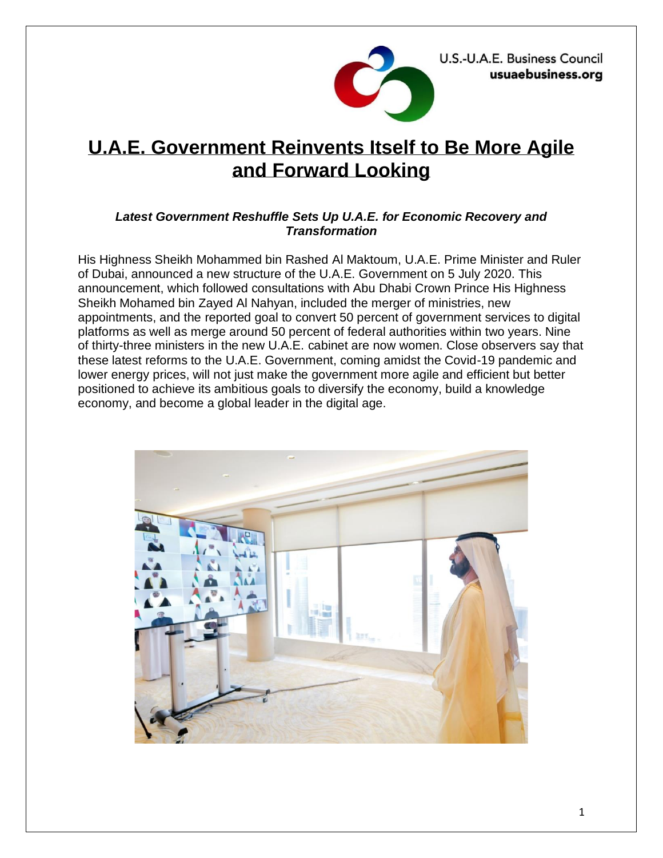U.S.-U.A.E. Business Council usuaebusiness.org



# **U.A.E. Government Reinvents Itself to Be More Agile and Forward Looking**

## *Latest Government Reshuffle Sets Up U.A.E. for Economic Recovery and Transformation*

His Highness Sheikh Mohammed bin Rashed Al Maktoum, U.A.E. Prime Minister and Ruler of Dubai, announced a new structure of the U.A.E. Government on 5 July 2020. This announcement, which followed consultations with Abu Dhabi Crown Prince His Highness Sheikh Mohamed bin Zayed Al Nahyan, included the merger of ministries, new appointments, and the reported goal to convert 50 percent of government services to digital platforms as well as merge around 50 percent of federal authorities within two years. Nine of thirty-three ministers in the new U.A.E. cabinet are now women. Close observers say that these latest reforms to the U.A.E. Government, coming amidst the Covid-19 pandemic and lower energy prices, will not just make the government more agile and efficient but better positioned to achieve its ambitious goals to diversify the economy, build a knowledge economy, and become a global leader in the digital age.

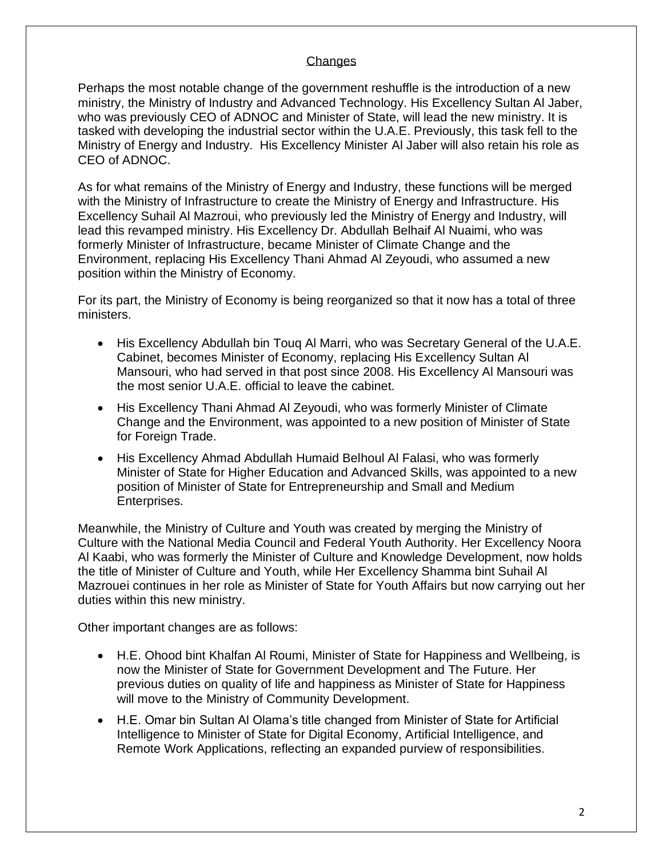#### **Changes**

Perhaps the most notable change of the government reshuffle is the introduction of a new ministry, the Ministry of Industry and Advanced Technology. His Excellency Sultan Al Jaber, who was previously CEO of ADNOC and Minister of State, will lead the new ministry. It is tasked with developing the industrial sector within the U.A.E. Previously, this task fell to the Ministry of Energy and Industry. His Excellency Minister Al Jaber will also retain his role as CEO of ADNOC.

As for what remains of the Ministry of Energy and Industry, these functions will be merged with the Ministry of Infrastructure to create the Ministry of Energy and Infrastructure. His Excellency Suhail Al Mazroui, who previously led the Ministry of Energy and Industry, will lead this revamped ministry. His Excellency Dr. Abdullah Belhaif Al Nuaimi, who was formerly Minister of Infrastructure, became Minister of Climate Change and the Environment, replacing His Excellency Thani Ahmad Al Zeyoudi, who assumed a new position within the Ministry of Economy.

For its part, the Ministry of Economy is being reorganized so that it now has a total of three ministers.

- His Excellency Abdullah bin Touq Al Marri, who was Secretary General of the U.A.E. Cabinet, becomes Minister of Economy, replacing His Excellency Sultan Al Mansouri, who had served in that post since 2008. His Excellency Al Mansouri was the most senior U.A.E. official to leave the cabinet.
- His Excellency Thani Ahmad Al Zeyoudi, who was formerly Minister of Climate Change and the Environment, was appointed to a new position of Minister of State for Foreign Trade.
- His Excellency Ahmad Abdullah Humaid Belhoul Al Falasi, who was formerly Minister of State for Higher Education and Advanced Skills, was appointed to a new position of Minister of State for Entrepreneurship and Small and Medium Enterprises.

Meanwhile, the Ministry of Culture and Youth was created by merging the Ministry of Culture with the National Media Council and Federal Youth Authority. Her Excellency Noora Al Kaabi, who was formerly the Minister of Culture and Knowledge Development, now holds the title of Minister of Culture and Youth, while Her Excellency Shamma bint Suhail Al Mazrouei continues in her role as Minister of State for Youth Affairs but now carrying out her duties within this new ministry.

Other important changes are as follows:

- H.E. Ohood bint Khalfan Al Roumi, Minister of State for Happiness and Wellbeing, is now the Minister of State for Government Development and The Future. Her previous duties on quality of life and happiness as Minister of State for Happiness will move to the Ministry of Community Development.
- H.E. Omar bin Sultan Al Olama's title changed from Minister of State for Artificial Intelligence to Minister of State for Digital Economy, Artificial Intelligence, and Remote Work Applications, reflecting an expanded purview of responsibilities.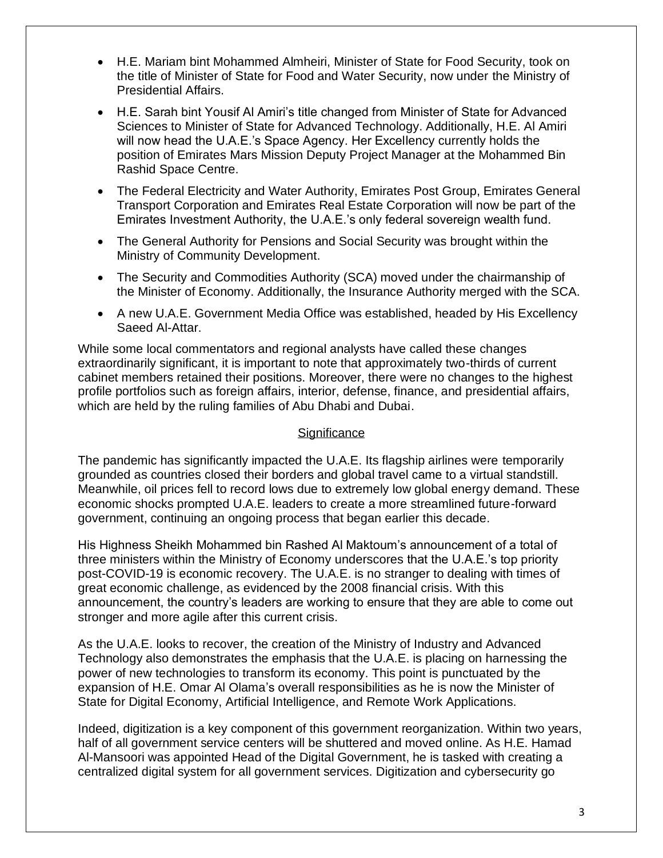- H.E. Mariam bint Mohammed Almheiri, Minister of State for Food Security, took on the title of Minister of State for Food and Water Security, now under the Ministry of Presidential Affairs.
- H.E. Sarah bint Yousif Al Amiri's title changed from Minister of State for Advanced Sciences to Minister of State for Advanced Technology. Additionally, H.E. Al Amiri will now head the U.A.E.'s Space Agency. Her Excellency currently holds the position of Emirates Mars Mission Deputy Project Manager at the Mohammed Bin Rashid Space Centre.
- The Federal Electricity and Water Authority, Emirates Post Group, Emirates General Transport Corporation and Emirates Real Estate Corporation will now be part of the Emirates Investment Authority, the U.A.E.'s only federal sovereign wealth fund.
- The General Authority for Pensions and Social Security was brought within the Ministry of Community Development.
- The Security and Commodities Authority (SCA) moved under the chairmanship of the Minister of Economy. Additionally, the Insurance Authority merged with the SCA.
- A new U.A.E. Government Media Office was established, headed by His Excellency Saeed Al-Attar.

While some local commentators and regional analysts have called these changes extraordinarily significant, it is important to note that approximately two-thirds of current cabinet members retained their positions. Moreover, there were no changes to the highest profile portfolios such as foreign affairs, interior, defense, finance, and presidential affairs, which are held by the ruling families of Abu Dhabi and Dubai.

### **Significance**

The pandemic has significantly impacted the U.A.E. Its flagship airlines were temporarily grounded as countries closed their borders and global travel came to a virtual standstill. Meanwhile, oil prices fell to record lows due to extremely low global energy demand. These economic shocks prompted U.A.E. leaders to create a more streamlined future-forward government, continuing an ongoing process that began earlier this decade.

His Highness Sheikh Mohammed bin Rashed Al Maktoum's announcement of a total of three ministers within the Ministry of Economy underscores that the U.A.E.'s top priority post-COVID-19 is economic recovery. The U.A.E. is no stranger to dealing with times of great economic challenge, as evidenced by the 2008 financial crisis. With this announcement, the country's leaders are working to ensure that they are able to come out stronger and more agile after this current crisis.

As the U.A.E. looks to recover, the creation of the Ministry of Industry and Advanced Technology also demonstrates the emphasis that the U.A.E. is placing on harnessing the power of new technologies to transform its economy. This point is punctuated by the expansion of H.E. Omar Al Olama's overall responsibilities as he is now the Minister of State for Digital Economy, Artificial Intelligence, and Remote Work Applications.

Indeed, digitization is a key component of this government reorganization. Within two years, half of all government service centers will be shuttered and moved online. As H.E. Hamad Al-Mansoori was appointed Head of the Digital Government, he is tasked with creating a centralized digital system for all government services. Digitization and cybersecurity go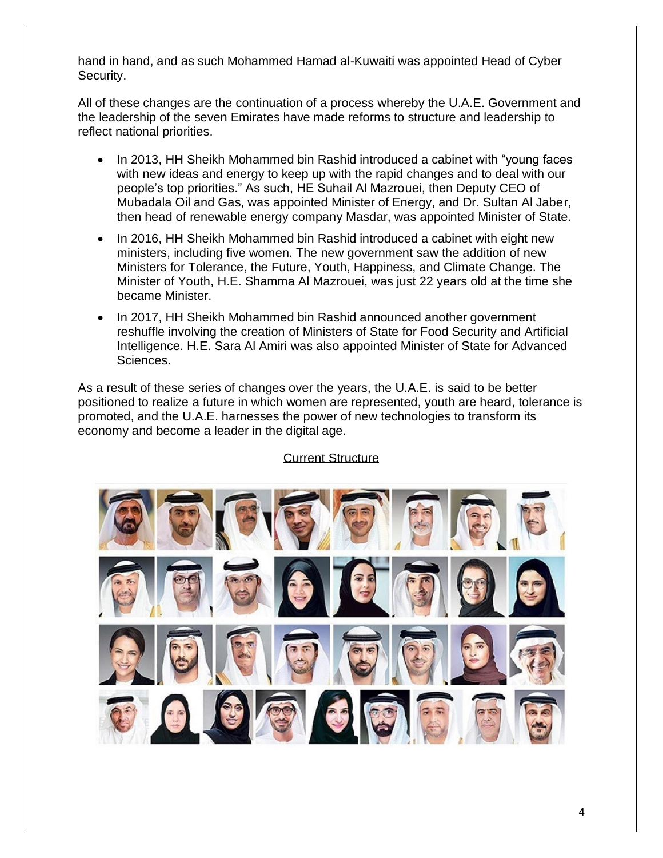hand in hand, and as such Mohammed Hamad al-Kuwaiti was appointed Head of Cyber Security.

All of these changes are the continuation of a process whereby the U.A.E. Government and the leadership of the seven Emirates have made reforms to structure and leadership to reflect national priorities.

- In 2013, HH Sheikh Mohammed bin Rashid introduced a cabinet with "young faces with new ideas and energy to keep up with the rapid changes and to deal with our people's top priorities." As such, HE Suhail Al Mazrouei, then Deputy CEO of Mubadala Oil and Gas, was appointed Minister of Energy, and Dr. Sultan Al Jaber, then head of renewable energy company Masdar, was appointed Minister of State.
- In 2016, HH Sheikh Mohammed bin Rashid introduced a cabinet with eight new ministers, including five women. The new government saw the addition of new Ministers for Tolerance, the Future, Youth, Happiness, and Climate Change. The Minister of Youth, H.E. Shamma Al Mazrouei, was just 22 years old at the time she became Minister.
- In 2017, HH Sheikh Mohammed bin Rashid announced another government reshuffle involving the creation of Ministers of State for Food Security and Artificial Intelligence. H.E. Sara Al Amiri was also appointed Minister of State for Advanced Sciences.

As a result of these series of changes over the years, the U.A.E. is said to be better positioned to realize a future in which women are represented, youth are heard, tolerance is promoted, and the U.A.E. harnesses the power of new technologies to transform its economy and become a leader in the digital age.



## Current Structure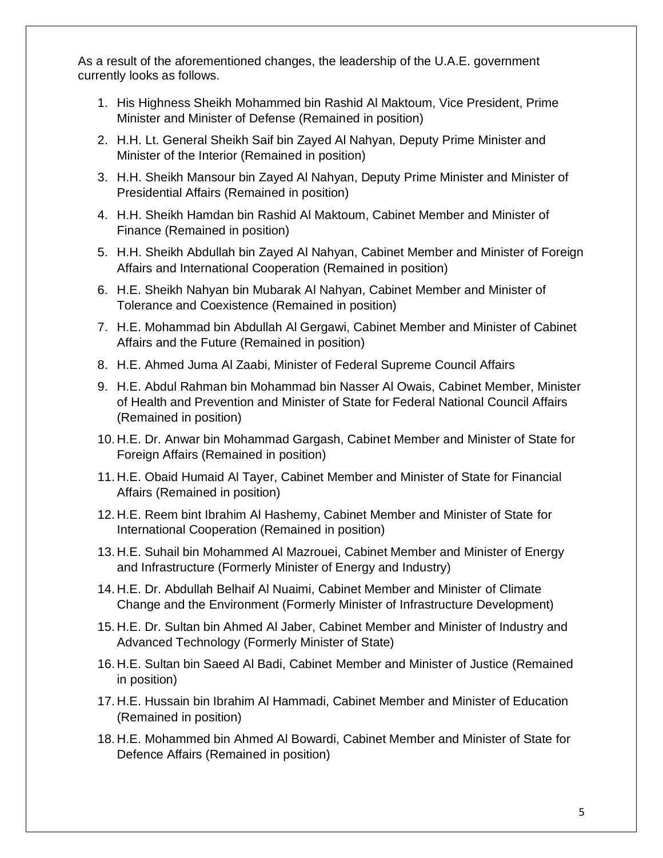As a result of the aforementioned changes, the leadership of the U.A.E. government currently looks as follows.

- 1. His Highness Sheikh Mohammed bin Rashid Al Maktoum, Vice President, Prime Minister and Minister of Defense (Remained in position)
- 2. H.H. Lt. General Sheikh Saif bin Zayed Al Nahyan, Deputy Prime Minister and Minister of the Interior (Remained in position)
- 3. H.H. Sheikh Mansour bin Zayed Al Nahyan, Deputy Prime Minister and Minister of Presidential Affairs (Remained in position)
- 4. H.H. Sheikh Hamdan bin Rashid Al Maktoum, Cabinet Member and Minister of Finance (Remained in position)
- 5. H.H. Sheikh Abdullah bin Zayed Al Nahyan, Cabinet Member and Minister of Foreign Affairs and International Cooperation (Remained in position)
- 6. H.E. Sheikh Nahyan bin Mubarak Al Nahyan, Cabinet Member and Minister of Tolerance and Coexistence (Remained in position)
- 7. H.E. Mohammad bin Abdullah Al Gergawi, Cabinet Member and Minister of Cabinet Affairs and the Future (Remained in position)
- 8. H.E. Ahmed Juma Al Zaabi, Minister of Federal Supreme Council Affairs
- 9. H.E. Abdul Rahman bin Mohammad bin Nasser Al Owais, Cabinet Member, Minister of Health and Prevention and Minister of State for Federal National Council Affairs (Remained in position)
- 10. H.E. Dr. Anwar bin Mohammad Gargash, Cabinet Member and Minister of State for Foreign Affairs (Remained in position)
- 11. H.E. Obaid Humaid Al Tayer, Cabinet Member and Minister of State for Financial Affairs (Remained in position)
- 12. H.E. Reem bint Ibrahim Al Hashemy, Cabinet Member and Minister of State for International Cooperation (Remained in position)
- 13. H.E. Suhail bin Mohammed Al Mazrouei, Cabinet Member and Minister of Energy and Infrastructure (Formerly Minister of Energy and Industry)
- 14. H.E. Dr. Abdullah Belhaif Al Nuaimi, Cabinet Member and Minister of Climate Change and the Environment (Formerly Minister of Infrastructure Development)
- 15. H.E. Dr. Sultan bin Ahmed Al Jaber, Cabinet Member and Minister of Industry and Advanced Technology (Formerly Minister of State)
- 16. H.E. Sultan bin Saeed Al Badi, Cabinet Member and Minister of Justice (Remained in position)
- 17. H.E. Hussain bin Ibrahim Al Hammadi, Cabinet Member and Minister of Education (Remained in position)
- 18. H.E. Mohammed bin Ahmed Al Bowardi, Cabinet Member and Minister of State for Defence Affairs (Remained in position)